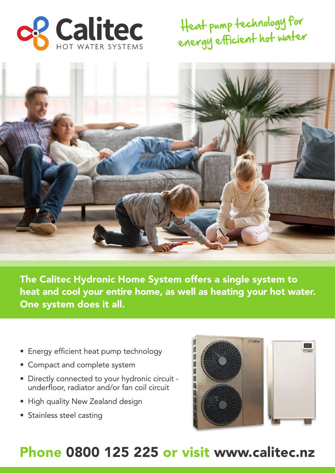

Heat pump technology for energy efficient hot water



The Calitec Hydronic Home System offers a single system to heat and cool your entire home, as well as heating your hot water. One system does it all.

- Energy efficient heat pump technology
- Compact and complete system
- Directly connected to your hydronic circuit underfloor, radiator and/or fan coil circuit
- High quality New Zealand design
- Stainless steel casting



## Phone 0800 125 225 or visit www.calitec.nz